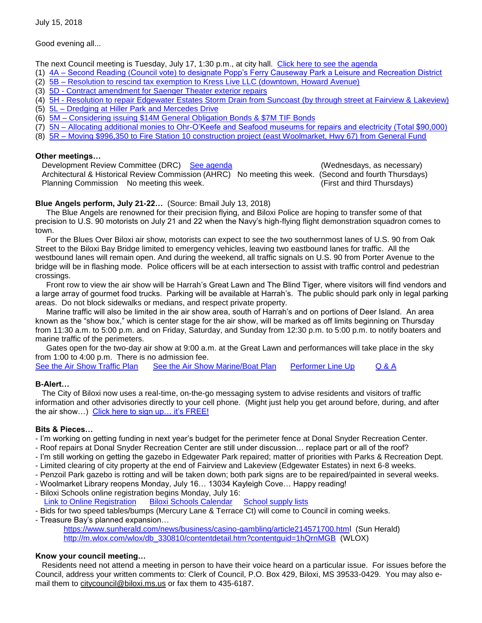July 15, 2018

Good evening all...

The next Council meeting is Tuesday, July 17, 1:30 p.m., at city hall. [Click here to see the agenda](https://www.biloxi.ms.us/agendas/citycouncil/2018/071718/071718agenda.pdf)

- (1) 4A [Second Reading \(Council vote\) to designate Popp's Ferry Causeway Park a Leisure and Recreation District](https://www.biloxi.ms.us/agendas/citycouncil/2018/071718/070318jcon.pdf)
- (2) 5B [Resolution to rescind tax exemption to Kress Live LLC \(downtown, Howard Avenue\)](https://www.biloxi.ms.us/agendas/citycouncil/2018/071718/071718aleg.pdf)
- (3) 5D [Contract amendment for Saenger Theater exterior](https://www.biloxi.ms.us/agendas/citycouncil/2018/071718/071718aeng.pdf) repairs
- (4) 5H [Resolution to repair Edgewater Estates Storm Drain from Suncoast](https://www.biloxi.ms.us/agendas/citycouncil/2018/071718/071718apur.pdf) (by through street at Fairview & Lakeview)
- (5) 5L [Dredging at Hiller Park and Mercedes Drive](https://www.biloxi.ms.us/agendas/citycouncil/2018/071718/071718feng.pdf)
- (6) 5M [Considering issuing \\$14M General Obligation Bonds & \\$7M TIF](https://www.biloxi.ms.us/agendas/citycouncil/2018/071718/071718bleg.pdf) Bonds
- (7) 5N [Allocating additional monies to Ohr-O'Keefe and Seafood museums for repairs and electricity \(Total \\$90,000\)](https://www.biloxi.ms.us/agendas/citycouncil/2018/071718/071718acon.pdf)
- (8) 5R [Moving \\$996,350 to Fire Station 10 construction project \(east Woolmarket, Hwy 67\) from General Fund](https://www.biloxi.ms.us/agendas/citycouncil/2018/071718/071718econ.pdf)

#### **Other meetings…**

 Development Review Committee (DRC) [See agenda](https://www.biloxi.ms.us/agendas/DRC/2018/DRC-2018-07-18.pdf) (Wednesdays, as necessary) Architectural & Historical Review Commission (AHRC) No meeting this week. (Second and fourth Thursdays) Planning Commission No meeting this week. (First and third Thursdays)

# **Blue Angels perform, July 21-22…** (Source: Bmail July 13, 2018)

 The Blue Angels are renowned for their precision flying, and Biloxi Police are hoping to transfer some of that precision to U.S. 90 motorists on July 21 and 22 when the Navy's high-flying flight demonstration squadron comes to town.

 For the Blues Over Biloxi air show, motorists can expect to see the two southernmost lanes of U.S. 90 from Oak Street to the Biloxi Bay Bridge limited to emergency vehicles, leaving two eastbound lanes for traffic. All the westbound lanes will remain open. And during the weekend, all traffic signals on U.S. 90 from Porter Avenue to the bridge will be in flashing mode. Police officers will be at each intersection to assist with traffic control and pedestrian crossings.

 Front row to view the air show will be Harrah's Great Lawn and The Blind Tiger, where visitors will find vendors and a large array of gourmet food trucks. Parking will be available at Harrah's. The public should park only in legal parking areas. Do not block sidewalks or medians, and respect private property.

 Marine traffic will also be limited in the air show area, south of Harrah's and on portions of Deer Island. An area known as the "show box," which is center stage for the air show, will be marked as off limits beginning on Thursday from 11:30 a.m. to 5:00 p.m. and on Friday, Saturday, and Sunday from 12:30 p.m. to 5:00 p.m. to notify boaters and marine traffic of the perimeters.

 Gates open for the two-day air show at 9:00 a.m. at the Great Lawn and performances will take place in the sky from 1:00 to 4:00 p.m. There is no admission fee.

[See the Air Show Traffic Plan](https://www.biloxi.ms.us/wp-content/uploads/2018/07/Blues-Over-Biloxi.pdf) [See the Air Show Marine/Boat Plan](https://www.biloxi.ms.us/wp-content/uploads/2018/07/BluesOverBiloximarineplan.pdf) [Performer](https://www.biloxiairshow.com/performer-lineup) Line Up [Q & A](https://www.biloxiairshow.com/q-a)

# **B-Alert…**

 The City of Biloxi now uses a real-time, on-the-go messaging system to advise residents and visitors of traffic information and other advisories directly to your cell phone. (Might just help you get around before, during, and after the air show...) Click here to sign up... it's FREE!

# **Bits & Pieces…**

- I'm working on getting funding in next year's budget for the perimeter fence at Donal Snyder Recreation Center.
- Roof repairs at Donal Snyder Recreation Center are still under discussion… replace part or all of the roof?
- I'm still working on getting the gazebo in Edgewater Park repaired; matter of priorities with Parks & Recreation Dept.
- Limited clearing of city property at the end of Fairview and Lakeview (Edgewater Estates) in next 6-8 weeks.
- Penzoil Park gazebo is rotting and will be taken down; both park signs are to be repaired/painted in several weeks.
- Woolmarket Library reopens Monday, July 16… 13034 Kayleigh Cove… Happy reading!
- Biloxi Schools online registration begins Monday, July 16:<br>
Link to Online Registration Biloxi Schools Calendar School supply lists [Link to Online Registration](https://www.biloxischools.net/domain/118) Biloxi Schools Calendar
- Bids for two speed tables/bumps (Mercury Lane & Terrace Ct) will come to Council in coming weeks.
- Treasure Bay's planned expansion…

<https://www.sunherald.com/news/business/casino-gambling/article214571700.html> (Sun Herald) [http://m.wlox.com/wlox/db\\_330810/contentdetail.htm?contentguid=1hQrnMGB](http://m.wlox.com/wlox/db_330810/contentdetail.htm?contentguid=1hQrnMGB) (WLOX)

# **Know your council meeting…**

 Residents need not attend a meeting in person to have their voice heard on a particular issue. For issues before the Council, address your written comments to: Clerk of Council, P.O. Box 429, Biloxi, MS 39533-0429. You may also email them to [citycouncil@biloxi.ms.us](mailto:citycouncil@biloxi.ms.us) or fax them to 435-6187.